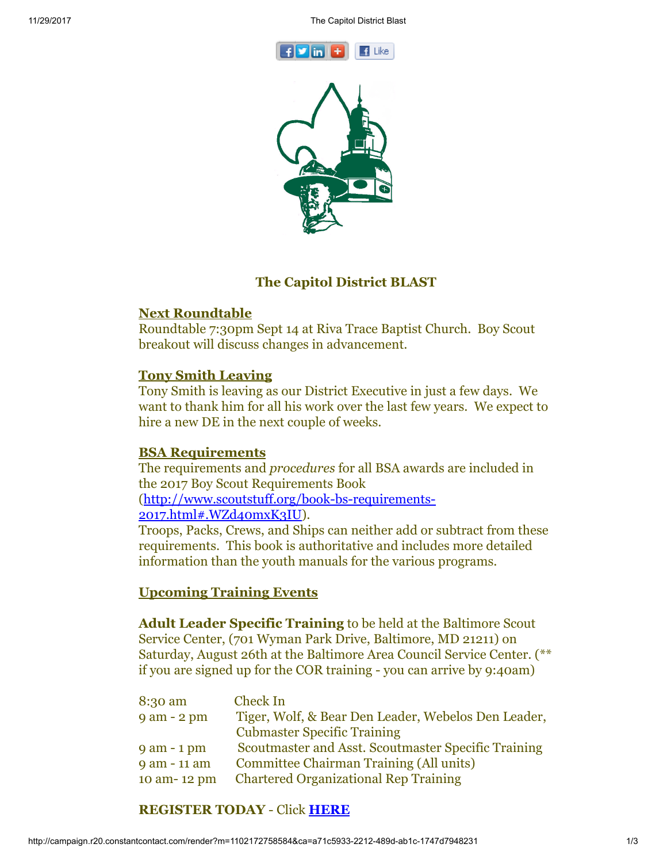



# The Capitol District BLAST

### Next Roundtable

Roundtable 7:30pm Sept 14 at Riva Trace Baptist Church. Boy Scout breakout will discuss changes in advancement.

# Tony Smith Leaving

Tony Smith is leaving as our District Executive in just a few days. We want to thank him for all his work over the last few years. We expect to hire a new DE in the next couple of weeks.

### BSA Requirements

The requirements and *procedures* for all BSA awards are included in the 2017 Boy Scout Requirements Book

### [\(http://www.scoutstuff.org/book-bs-requirements-](http://www.scoutstuff.org/book-bs-requirements-2017.html#.WZd40mxK3IU)2017.html#.WZd40mxK3IU).

Troops, Packs, Crews, and Ships can neither add or subtract from these requirements. This book is authoritative and includes more detailed information than the youth manuals for the various programs.

# Upcoming Training Events

Adult Leader Specific Training to be held at the Baltimore Scout Service Center, (701 Wyman Park Drive, Baltimore, MD 21211) on Saturday, August 26th at the Baltimore Area Council Service Center. (\*\* if you are signed up for the COR training - you can arrive by 9:40am)

| Check In                                            |
|-----------------------------------------------------|
| Tiger, Wolf, & Bear Den Leader, Webelos Den Leader, |
| <b>Cubmaster Specific Training</b>                  |
| Scoutmaster and Asst. Scoutmaster Specific Training |
| <b>Committee Chairman Training (All units)</b>      |
| <b>Chartered Organizational Rep Training</b>        |
|                                                     |

# REGISTER TODAY - Click [HERE](http://www.doubleknot.com/openrosters/ShowPage.aspx?3538383833307L383932353035)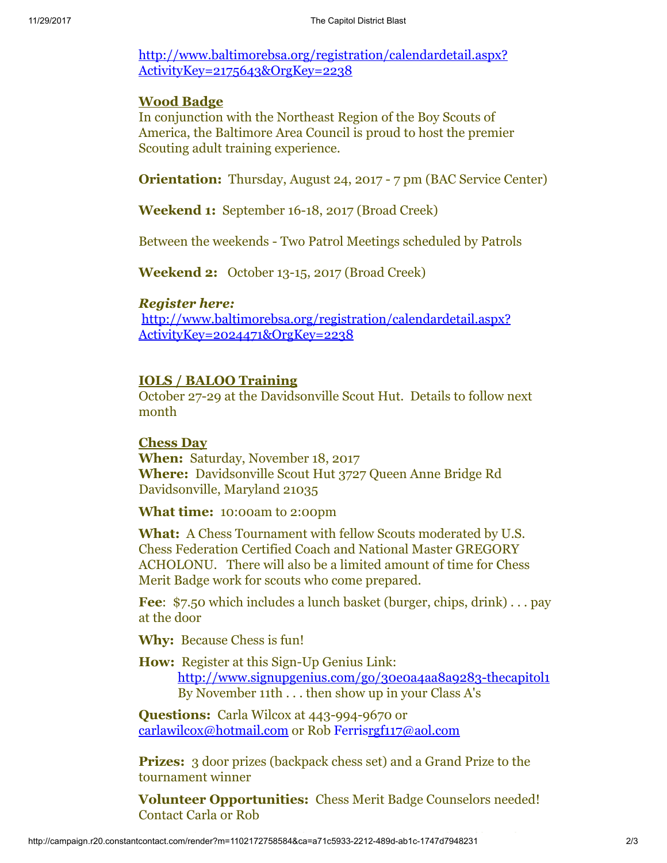[http://www.baltimorebsa.org/registration/calendardetail.aspx?](http://www.baltimorebsa.org/registration/calendardetail.aspx?ActivityKey=2175643&OrgKey=2238) ActivityKey=2175643&OrgKey=2238

# Wood Badge

In conjunction with the Northeast Region of the Boy Scouts of America, the Baltimore Area Council is proud to host the premier Scouting adult training experience.

Orientation: Thursday, August 24, 2017 - 7 pm (BAC Service Center)

Weekend 1: September 16-18, 2017 (Broad Creek)

Between the weekends - Two Patrol Meetings scheduled by Patrols

Weekend 2: October 13-15, 2017 (Broad Creek)

# *Register here:*

[http://www.baltimorebsa.org/registration/calendardetail.aspx?](http://www.baltimorebsa.org/registration/calendardetail.aspx?ActivityKey=2024471&OrgKey=2238) ActivityKey=2024471&OrgKey=2238

# IOLS / BALOO Training

October 27-29 at the Davidsonville Scout Hut. Details to follow next month

### Chess Day

When: Saturday, November 18, 2017 Where: Davidsonville Scout Hut 3727 Queen Anne Bridge Rd Davidsonville, Maryland 21035

What time: 10:00am to 2:00pm

What: A Chess Tournament with fellow Scouts moderated by U.S. Chess Federation Certified Coach and National Master GREGORY ACHOLONU. There will also be a limited amount of time for Chess Merit Badge work for scouts who come prepared.

Fee: \$7.50 which includes a lunch basket (burger, chips, drink)... pay at the door

Why: Because Chess is fun!

How: Register at this Sign-Up Genius Link: <http://www.signupgenius.com/go/30e0a4aa8a9283-thecapitol1> By November 11th . . . then show up in your Class A's

Questions: Carla Wilcox at 443-994-9670 or [carlawilcox@hotmail.com](mailto:carlawilcox@hotmail.com) or Rob Ferri[srgf117@aol.com](mailto:rgf117@aol.com)

**Prizes:** 3 door prizes (backpack chess set) and a Grand Prize to the tournament winner

Volunteer Opportunities: Chess Merit Badge Counselors needed! Contact Carla or Rob